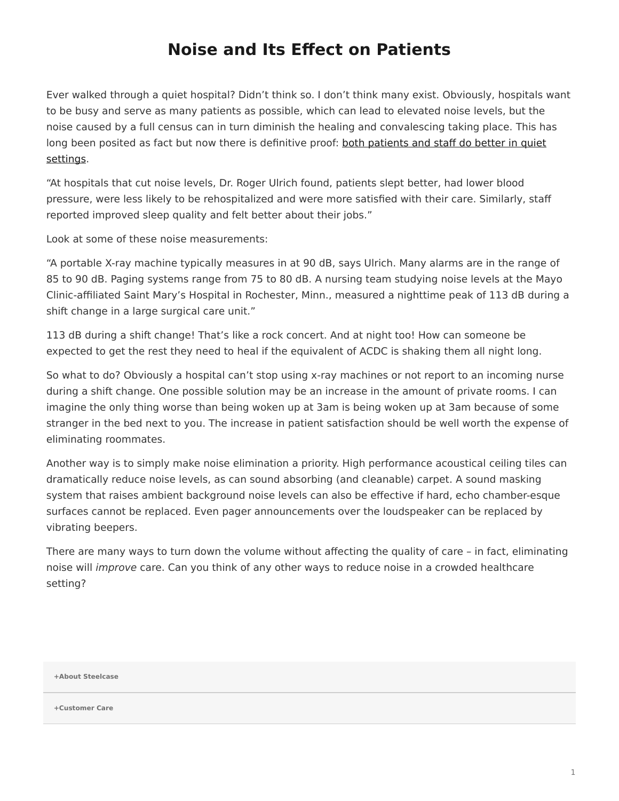## **Noise and Its Effect on Patients**

<span id="page-0-0"></span>Ever walked through a quiet hospital? Didn't think so. I don't think many exist. Obviously, hospitals want to be busy and serve as many patients as possible, which can lead to elevated noise levels, but the noise caused by a full census can in turn diminish the healing and convalescing taking place. This has long been posited as fact but now there is definitive proof: [both patients and staff do better in quiet](http://www.hfmmagazine.com/hfmmagazine_app/jsp/articledisplay.jsp?dcrpath=HFMMAGAZINE/PubsNewsArticleGen/data/0409HFM_FEA_Cover_Story) [settings](http://www.hfmmagazine.com/hfmmagazine_app/jsp/articledisplay.jsp?dcrpath=HFMMAGAZINE/PubsNewsArticleGen/data/0409HFM_FEA_Cover_Story).

"At hospitals that cut noise levels, Dr. Roger Ulrich found, patients slept better, had lower blood pressure, were less likely to be rehospitalized and were more satisfied with their care. Similarly, staff reported improved sleep quality and felt better about their jobs."

Look at some of these noise measurements:

"A portable X-ray machine typically measures in at 90 dB, says Ulrich. Many alarms are in the range of 85 to 90 dB. Paging systems range from 75 to 80 dB. A nursing team studying noise levels at the Mayo Clinic-affiliated Saint Mary's Hospital in Rochester, Minn., measured a nighttime peak of 113 dB during a shift change in a large surgical care unit."

113 dB during a shift change! That's like a rock concert. And at night too! How can someone be expected to get the rest they need to heal if the equivalent of ACDC is shaking them all night long.

So what to do? Obviously a hospital can't stop using x-ray machines or not report to an incoming nurse during a shift change. One possible solution may be an increase in the amount of private rooms. I can imagine the only thing worse than being woken up at 3am is being woken up at 3am because of some stranger in the bed next to you. The increase in patient satisfaction should be well worth the expense of eliminating roommates.

Another way is to simply make noise elimination a priority. High performance acoustical ceiling tiles can dramatically reduce noise levels, as can sound absorbing (and cleanable) carpet. A sound masking system that raises ambient background noise levels can also be effective if hard, echo chamber-esque surfaces cannot be replaced. Even pager announcements over the loudspeaker can be replaced by vibrating beepers.

There are many ways to turn down the volume without affecting the quality of care – in fact, eliminating noise will *improve* care. Can you think of any other ways to reduce noise in a crowded healthcare setting?

**[+About Steelcase](https://www.steelcase.com/discover/steelcase/our-company/)**

**[+Customer Care](#page-0-0)**